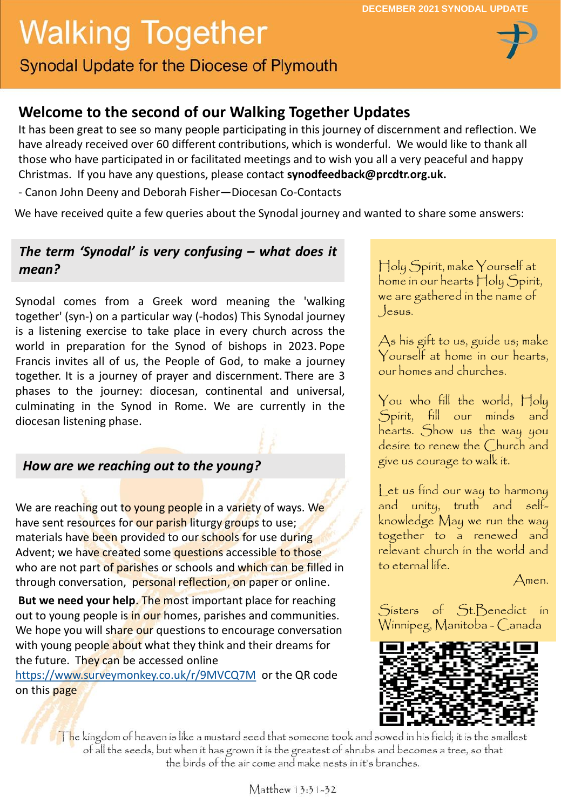# **Walking Together**

**Synodal Update for the Diocese of Plymouth** 

# **Welcome to the second of our Walking Together Updates**

It has been great to see so many people participating in this journey of discernment and reflection. We have already received over 60 different contributions, which is wonderful. We would like to thank all those who have participated in or facilitated meetings and to wish you all a very peaceful and happy Christmas. If you have any questions, please contact **synodfeedback@prcdtr.org.uk.**

- Canon John Deeny and Deborah Fisher—Diocesan Co-Contacts

We have received quite a few queries about the Synodal journey and wanted to share some answers:

### *The term 'Synodal' is very confusing – what does it mean?*

Synodal comes from a Greek word meaning the 'walking together' (syn-) on a particular way (-hodos) This Synodal journey is a listening exercise to take place in every church across the world in preparation for the Synod of bishops in 2023. Pope Francis invites all of us, the People of God, to make a journey together. It is a journey of prayer and discernment. There are 3 phases to the journey: diocesan, continental and universal, culminating in the Synod in Rome. We are currently in the diocesan listening phase.

#### *How are we reaching out to the young?*

We are reaching out to young people in a variety of ways. We have sent resources for our parish liturgy groups to use; materials have been provided to our schools for use during Advent; we have created some questions accessible to those who are not part of parishes or schools and which can be filled in through conversation, personal reflection, on paper or online.

**But we need your help**. The most important place for reaching out to young people is in our homes, parishes and communities. We hope you will share our questions to encourage conversation with young people about what they think and their dreams for the future. They can be accessed online

https://www.surveymonkey.co.uk/r/9MVCQ7M or the QR code on this page

Holy Spirit, make Yourself at home in our hearts Holy Spirit, we are gathered in the name of Jesus.

As his gift to us, guide us; make Yourself at home in our hearts, our homes and churches.

You who fill the world, Holy Spirit, fill our minds and hearts. Show us the way you desire to renew the Church and give us courage to walk it.

Let us find our way to harmony and unity, truth and selfknowledge May we run the way together to a renewed and relevant church in the world and to eternal life.

Amen.

Sisters of St.Benedict in Winnipeg, Manitoba - Canada



The kingdom of heaven is like a mustard seed that someone took and sowed in his field; it is the smallest of all the seeds, but when it has grown it is the greatest of shrubs and becomes a tree, so that the birds of the air come and make nests in it's branches.